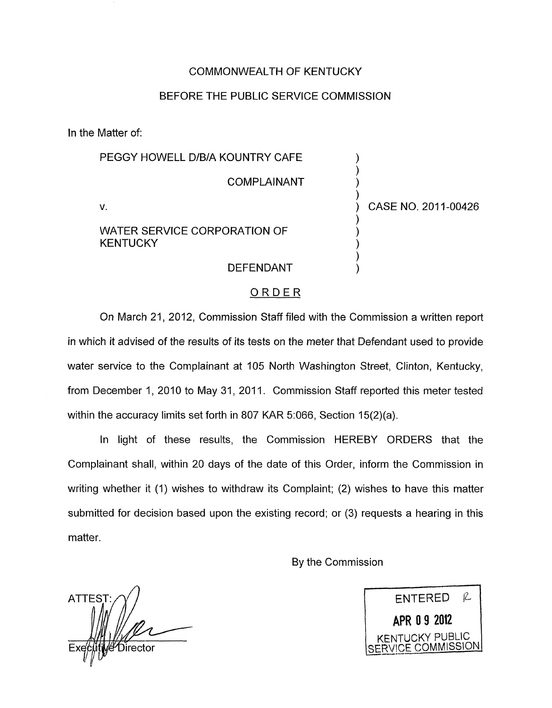### COMMONWEALTH **OF** KENTUCKY

## BEFORE THE PUBLIC SERVICE COMMISSION

In the Matter of:

## PEGGY HOWELL D/B/A KOUNTRY CAFE  $\overline{)}$ **COMPLAINANT**  $\overline{)}$ ) V. ) CASE NO. 201 1-00426

WATER SERVICE CORPORATION OF **KENTUCKY** 

1

# **DEFENDANT**

#### ORDER

On March 21, 2012, Commission Staff filed with the Commission a written report in which it advised of the results of its tests on the meter that Defendant used to provide water service to the Complainant at 105 North Washington Street, Clinton, Kentucky, from December 1, 2010 to May 31, 2011. Commission Staff reported this meter tested within the accuracy limits set forth in 807 KAR 5:066, Section  $15(2)(a)$ .

In light of these results, the Commission HEREBY ORDERS that the Complainant shall, within 20 days of the date of this Order, inform the Commission in writing whether it (1) wishes to withdraw its Complaint; (2) wishes to have this matter submitted for decision based upon the existing record; or (3) requests a hearing in this matter.

By the Commission

**ATTES** Director

R. **ENTERED** <sup>1</sup>**APR 8 9 2012** I ENTUCKY PUBLIC

*I* COMMISSION